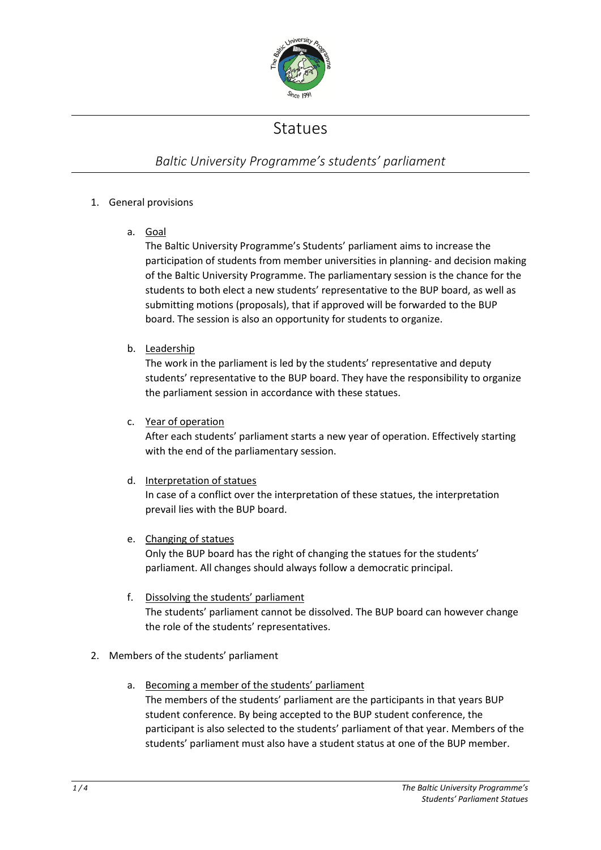

## Statues

## *Baltic University Programme's students' parliament*

## 1. General provisions

a. Goal

The Baltic University Programme's Students' parliament aims to increase the participation of students from member universities in planning- and decision making of the Baltic University Programme. The parliamentary session is the chance for the students to both elect a new students' representative to the BUP board, as well as submitting motions (proposals), that if approved will be forwarded to the BUP board. The session is also an opportunity for students to organize.

b. Leadership

The work in the parliament is led by the students' representative and deputy students' representative to the BUP board. They have the responsibility to organize the parliament session in accordance with these statues.

c. Year of operation

After each students' parliament starts a new year of operation. Effectively starting with the end of the parliamentary session.

d. Interpretation of statues

In case of a conflict over the interpretation of these statues, the interpretation prevail lies with the BUP board.

e. Changing of statues

Only the BUP board has the right of changing the statues for the students' parliament. All changes should always follow a democratic principal.

- f. Dissolving the students' parliament The students' parliament cannot be dissolved. The BUP board can however change the role of the students' representatives.
- 2. Members of the students' parliament
	- a. Becoming a member of the students' parliament The members of the students' parliament are the participants in that years BUP student conference. By being accepted to the BUP student conference, the participant is also selected to the students' parliament of that year. Members of the students' parliament must also have a student status at one of the BUP member.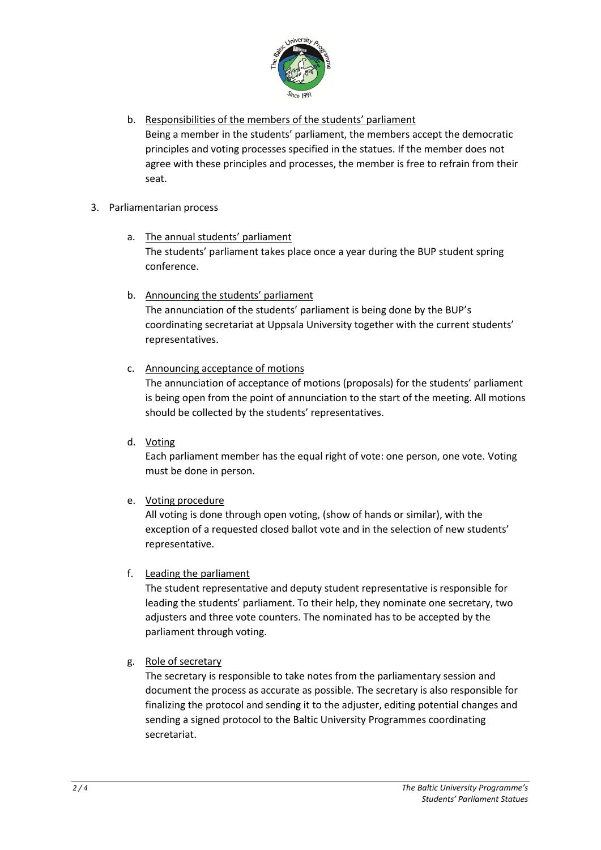

- b. Responsibilities of the members of the students' parliament Being a member in the students' parliament, the members accept the democratic principles and voting processes specified in the statues. If the member does not agree with these principles and processes, the member is free to refrain from their seat.
- 3. Parliamentarian process
	- a. The annual students' parliament The students' parliament takes place once a year during the BUP student spring conference.
	- b. Announcing the students' parliament The annunciation of the students' parliament is being done by the BUP's coordinating secretariat at Uppsala University together with the current students' representatives.
	- c. Announcing acceptance of motions

The annunciation of acceptance of motions (proposals) for the students' parliament is being open from the point of annunciation to the start of the meeting. All motions should be collected by the students' representatives.

d. Voting

Each parliament member has the equal right of vote: one person, one vote. Voting must be done in person.

e. Voting procedure

All voting is done through open voting, (show of hands or similar), with the exception of a requested closed ballot vote and in the selection of new students' representative.

f. Leading the parliament

The student representative and deputy student representative is responsible for leading the students' parliament. To their help, they nominate one secretary, two adjusters and three vote counters. The nominated has to be accepted by the parliament through voting.

g. Role of secretary

The secretary is responsible to take notes from the parliamentary session and document the process as accurate as possible. The secretary is also responsible for finalizing the protocol and sending it to the adjuster, editing potential changes and sending a signed protocol to the Baltic University Programmes coordinating secretariat.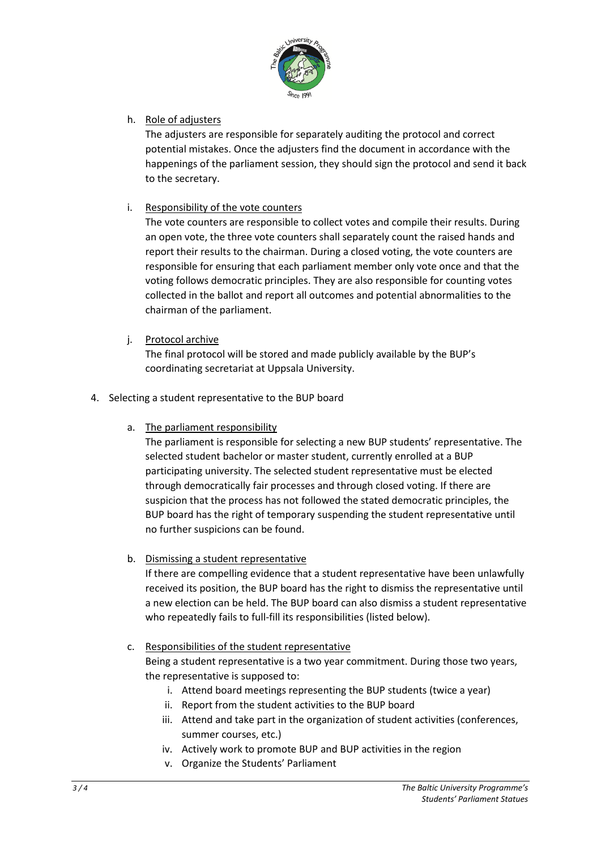

h. Role of adjusters

The adjusters are responsible for separately auditing the protocol and correct potential mistakes. Once the adjusters find the document in accordance with the happenings of the parliament session, they should sign the protocol and send it back to the secretary.

i. Responsibility of the vote counters

The vote counters are responsible to collect votes and compile their results. During an open vote, the three vote counters shall separately count the raised hands and report their results to the chairman. During a closed voting, the vote counters are responsible for ensuring that each parliament member only vote once and that the voting follows democratic principles. They are also responsible for counting votes collected in the ballot and report all outcomes and potential abnormalities to the chairman of the parliament.

j. Protocol archive

The final protocol will be stored and made publicly available by the BUP's coordinating secretariat at Uppsala University.

- 4. Selecting a student representative to the BUP board
	- a. The parliament responsibility

The parliament is responsible for selecting a new BUP students' representative. The selected student bachelor or master student, currently enrolled at a BUP participating university. The selected student representative must be elected through democratically fair processes and through closed voting. If there are suspicion that the process has not followed the stated democratic principles, the BUP board has the right of temporary suspending the student representative until no further suspicions can be found.

b. Dismissing a student representative

If there are compelling evidence that a student representative have been unlawfully received its position, the BUP board has the right to dismiss the representative until a new election can be held. The BUP board can also dismiss a student representative who repeatedly fails to full-fill its responsibilities (listed below).

- c. Responsibilities of the student representative Being a student representative is a two year commitment. During those two years, the representative is supposed to:
	- i. Attend board meetings representing the BUP students (twice a year)
	- ii. Report from the student activities to the BUP board
	- iii. Attend and take part in the organization of student activities (conferences, summer courses, etc.)
	- iv. Actively work to promote BUP and BUP activities in the region
	- v. Organize the Students' Parliament